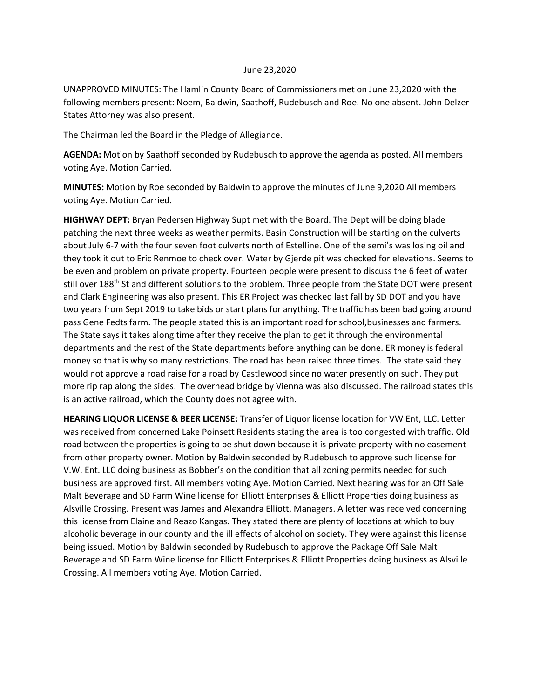## June 23,2020

UNAPPROVED MINUTES: The Hamlin County Board of Commissioners met on June 23,2020 with the following members present: Noem, Baldwin, Saathoff, Rudebusch and Roe. No one absent. John Delzer States Attorney was also present.

The Chairman led the Board in the Pledge of Allegiance.

**AGENDA:** Motion by Saathoff seconded by Rudebusch to approve the agenda as posted. All members voting Aye. Motion Carried.

**MINUTES:** Motion by Roe seconded by Baldwin to approve the minutes of June 9,2020 All members voting Aye. Motion Carried.

**HIGHWAY DEPT:** Bryan Pedersen Highway Supt met with the Board. The Dept will be doing blade patching the next three weeks as weather permits. Basin Construction will be starting on the culverts about July 6-7 with the four seven foot culverts north of Estelline. One of the semi's was losing oil and they took it out to Eric Renmoe to check over. Water by Gjerde pit was checked for elevations. Seems to be even and problem on private property. Fourteen people were present to discuss the 6 feet of water still over 188<sup>th</sup> St and different solutions to the problem. Three people from the State DOT were present and Clark Engineering was also present. This ER Project was checked last fall by SD DOT and you have two years from Sept 2019 to take bids or start plans for anything. The traffic has been bad going around pass Gene Fedts farm. The people stated this is an important road for school,businesses and farmers. The State says it takes along time after they receive the plan to get it through the environmental departments and the rest of the State departments before anything can be done. ER money is federal money so that is why so many restrictions. The road has been raised three times. The state said they would not approve a road raise for a road by Castlewood since no water presently on such. They put more rip rap along the sides. The overhead bridge by Vienna was also discussed. The railroad states this is an active railroad, which the County does not agree with.

**HEARING LIQUOR LICENSE & BEER LICENSE:** Transfer of Liquor license location for VW Ent, LLC. Letter was received from concerned Lake Poinsett Residents stating the area is too congested with traffic. Old road between the properties is going to be shut down because it is private property with no easement from other property owner. Motion by Baldwin seconded by Rudebusch to approve such license for V.W. Ent. LLC doing business as Bobber's on the condition that all zoning permits needed for such business are approved first. All members voting Aye. Motion Carried. Next hearing was for an Off Sale Malt Beverage and SD Farm Wine license for Elliott Enterprises & Elliott Properties doing business as Alsville Crossing. Present was James and Alexandra Elliott, Managers. A letter was received concerning this license from Elaine and Reazo Kangas. They stated there are plenty of locations at which to buy alcoholic beverage in our county and the ill effects of alcohol on society. They were against this license being issued. Motion by Baldwin seconded by Rudebusch to approve the Package Off Sale Malt Beverage and SD Farm Wine license for Elliott Enterprises & Elliott Properties doing business as Alsville Crossing. All members voting Aye. Motion Carried.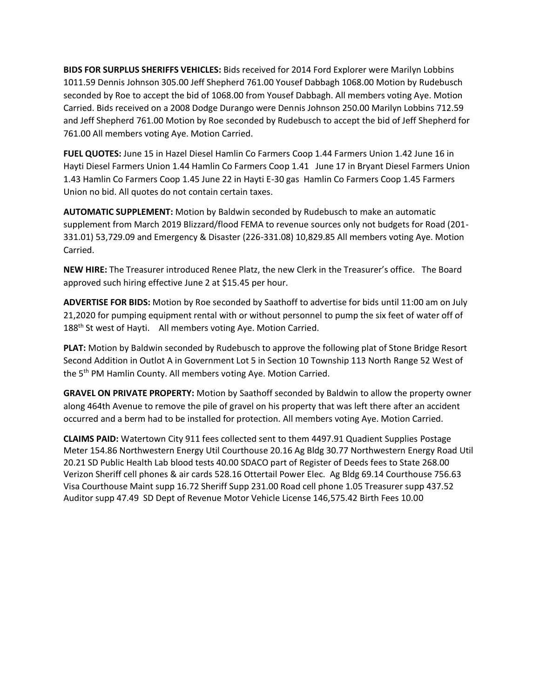**BIDS FOR SURPLUS SHERIFFS VEHICLES:** Bids received for 2014 Ford Explorer were Marilyn Lobbins 1011.59 Dennis Johnson 305.00 Jeff Shepherd 761.00 Yousef Dabbagh 1068.00 Motion by Rudebusch seconded by Roe to accept the bid of 1068.00 from Yousef Dabbagh. All members voting Aye. Motion Carried. Bids received on a 2008 Dodge Durango were Dennis Johnson 250.00 Marilyn Lobbins 712.59 and Jeff Shepherd 761.00 Motion by Roe seconded by Rudebusch to accept the bid of Jeff Shepherd for 761.00 All members voting Aye. Motion Carried.

**FUEL QUOTES:** June 15 in Hazel Diesel Hamlin Co Farmers Coop 1.44 Farmers Union 1.42 June 16 in Hayti Diesel Farmers Union 1.44 Hamlin Co Farmers Coop 1.41 June 17 in Bryant Diesel Farmers Union 1.43 Hamlin Co Farmers Coop 1.45 June 22 in Hayti E-30 gas Hamlin Co Farmers Coop 1.45 Farmers Union no bid. All quotes do not contain certain taxes.

**AUTOMATIC SUPPLEMENT:** Motion by Baldwin seconded by Rudebusch to make an automatic supplement from March 2019 Blizzard/flood FEMA to revenue sources only not budgets for Road (201- 331.01) 53,729.09 and Emergency & Disaster (226-331.08) 10,829.85 All members voting Aye. Motion Carried.

**NEW HIRE:** The Treasurer introduced Renee Platz, the new Clerk in the Treasurer's office. The Board approved such hiring effective June 2 at \$15.45 per hour.

**ADVERTISE FOR BIDS:** Motion by Roe seconded by Saathoff to advertise for bids until 11:00 am on July 21,2020 for pumping equipment rental with or without personnel to pump the six feet of water off of 188<sup>th</sup> St west of Hayti. All members voting Aye. Motion Carried.

**PLAT:** Motion by Baldwin seconded by Rudebusch to approve the following plat of Stone Bridge Resort Second Addition in Outlot A in Government Lot 5 in Section 10 Township 113 North Range 52 West of the 5th PM Hamlin County. All members voting Aye. Motion Carried.

**GRAVEL ON PRIVATE PROPERTY:** Motion by Saathoff seconded by Baldwin to allow the property owner along 464th Avenue to remove the pile of gravel on his property that was left there after an accident occurred and a berm had to be installed for protection. All members voting Aye. Motion Carried.

**CLAIMS PAID:** Watertown City 911 fees collected sent to them 4497.91 Quadient Supplies Postage Meter 154.86 Northwestern Energy Util Courthouse 20.16 Ag Bldg 30.77 Northwestern Energy Road Util 20.21 SD Public Health Lab blood tests 40.00 SDACO part of Register of Deeds fees to State 268.00 Verizon Sheriff cell phones & air cards 528.16 Ottertail Power Elec. Ag Bldg 69.14 Courthouse 756.63 Visa Courthouse Maint supp 16.72 Sheriff Supp 231.00 Road cell phone 1.05 Treasurer supp 437.52 Auditor supp 47.49 SD Dept of Revenue Motor Vehicle License 146,575.42 Birth Fees 10.00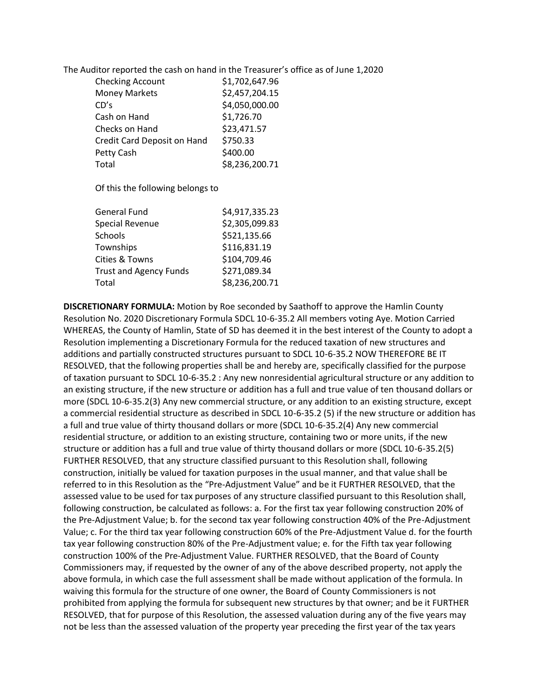The Auditor reported the cash on hand in the Treasurer's office as of June 1,2020

| <b>Checking Account</b>     | \$1,702,647.96 |
|-----------------------------|----------------|
| <b>Money Markets</b>        | \$2,457,204.15 |
| CD's                        | \$4,050,000.00 |
| Cash on Hand                | \$1,726.70     |
| Checks on Hand              | \$23,471.57    |
| Credit Card Deposit on Hand | \$750.33       |
| Petty Cash                  | \$400.00       |
| Total                       | \$8,236,200.71 |

Of this the following belongs to

| General Fund                  | \$4,917,335.23 |
|-------------------------------|----------------|
| Special Revenue               | \$2,305,099.83 |
| Schools                       | \$521,135.66   |
| Townships                     | \$116,831.19   |
| Cities & Towns                | \$104,709.46   |
| <b>Trust and Agency Funds</b> | \$271,089.34   |
| Total                         | \$8,236,200.71 |
|                               |                |

**DISCRETIONARY FORMULA:** Motion by Roe seconded by Saathoff to approve the Hamlin County Resolution No. 2020 Discretionary Formula SDCL 10-6-35.2 All members voting Aye. Motion Carried WHEREAS, the County of Hamlin, State of SD has deemed it in the best interest of the County to adopt a Resolution implementing a Discretionary Formula for the reduced taxation of new structures and additions and partially constructed structures pursuant to SDCL 10-6-35.2 NOW THEREFORE BE IT RESOLVED, that the following properties shall be and hereby are, specifically classified for the purpose of taxation pursuant to SDCL 10-6-35.2 : Any new nonresidential agricultural structure or any addition to an existing structure, if the new structure or addition has a full and true value of ten thousand dollars or more (SDCL 10-6-35.2(3) Any new commercial structure, or any addition to an existing structure, except a commercial residential structure as described in SDCL 10-6-35.2 (5) if the new structure or addition has a full and true value of thirty thousand dollars or more (SDCL 10-6-35.2(4) Any new commercial residential structure, or addition to an existing structure, containing two or more units, if the new structure or addition has a full and true value of thirty thousand dollars or more (SDCL 10-6-35.2(5) FURTHER RESOLVED, that any structure classified pursuant to this Resolution shall, following construction, initially be valued for taxation purposes in the usual manner, and that value shall be referred to in this Resolution as the "Pre-Adjustment Value" and be it FURTHER RESOLVED, that the assessed value to be used for tax purposes of any structure classified pursuant to this Resolution shall, following construction, be calculated as follows: a. For the first tax year following construction 20% of the Pre-Adjustment Value; b. for the second tax year following construction 40% of the Pre-Adjustment Value; c. For the third tax year following construction 60% of the Pre-Adjustment Value d. for the fourth tax year following construction 80% of the Pre-Adjustment value; e. for the Fifth tax year following construction 100% of the Pre-Adjustment Value. FURTHER RESOLVED, that the Board of County Commissioners may, if requested by the owner of any of the above described property, not apply the above formula, in which case the full assessment shall be made without application of the formula. In waiving this formula for the structure of one owner, the Board of County Commissioners is not prohibited from applying the formula for subsequent new structures by that owner; and be it FURTHER RESOLVED, that for purpose of this Resolution, the assessed valuation during any of the five years may not be less than the assessed valuation of the property year preceding the first year of the tax years